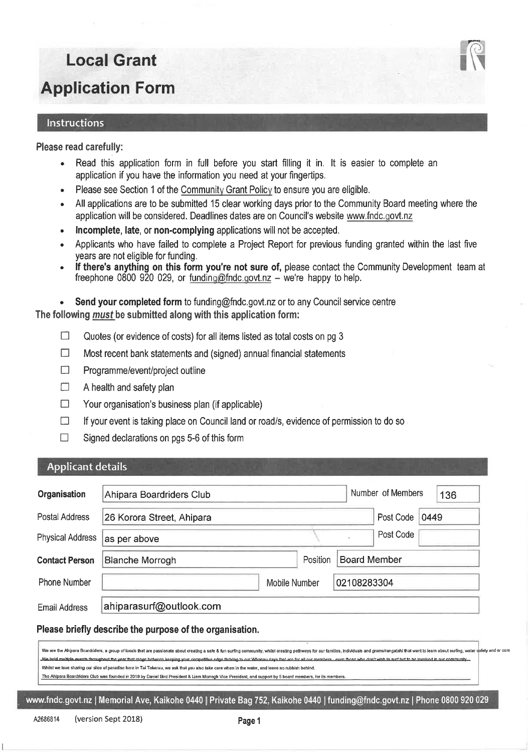#### Instructions

#### Please read carefully:

- Read this application form in full before you start filling it in. It is easier to complete an  $\bullet$ application if you have the information you need at your fingertips.
- Please see Section 1 of the Community Grant Policy to ensure you are eligible.
- All applications are to be submitted 15 clear working days prior to the Community Board meeting where the ó application will be considered. Deadlines dates are on Council's website www.fndc.govt.nz
- Incomplete, late, or non-complying applications will not be accepted.
- Applicants who have failed to complete a Project Report for previous funding granted within the last five years are not eligible for funding.
- If there's anything on this form you're not sure of, please contact the Community Development team at  $\bullet$ freephone 0800 920 029, or funding@fndc.govt.nz - we're happy to help.

Send your completed form to funding@fndc.govt.nz or to any Council service centre  $\ddot{\phantom{a}}$ The following *must* be submitted along with this application form:

- $\Box$ Quotes (or evidence of costs) for all items listed as total costs on pg 3
- $\Box$ Most recent bank statements and (signed) annual financial statements
- П Programme/event/project outline
- A health and safety plan  $\Box$
- $\Box$ Your organisation's business plan (if applicable)
- $\Box$ If your event is taking place on Council land or road/s, evidence of permission to do so
- $\Box$ Signed declarations on pgs 5-6 of this form

#### **Applicant details**

| Organisation            | Ahipara Boardriders Club  |               |                     | Number of Members | 136  |
|-------------------------|---------------------------|---------------|---------------------|-------------------|------|
| Postal Address          | 26 Korora Street, Ahipara |               |                     | Post Code         | 0449 |
| <b>Physical Address</b> | as per above              |               |                     | Post Code         |      |
| <b>Contact Person</b>   | <b>Blanche Morrogh</b>    | Position      | <b>Board Member</b> |                   |      |
| Phone Number            |                           | Mobile Number | 02108283304         |                   |      |
| Email Address           | ahiparasurf@outlook.com   |               |                     |                   |      |

#### Please briefly describe the purpose of the organisation.

We are the Ahipara Boardriders, a group of locals that are passionate about creating a safe & fun surfing community, whilst creating pathways for our families, individuals and groms/rangatahi that want to learn about surfi mifety and or com We bold multiple events throughout the year that range between keeping your competitive edge thriving to our Whanau days that are for all our r. Whilst we love sharing our slice of paradise here in Tai Tokerau, we ask that you also take care when in the water, and leave no rubbish behind.

The Ahipara Boardriders Club was founded in 2019 by Daniel Bird President & Liam Morrogh Vice President, and support by 5 board members, for its mer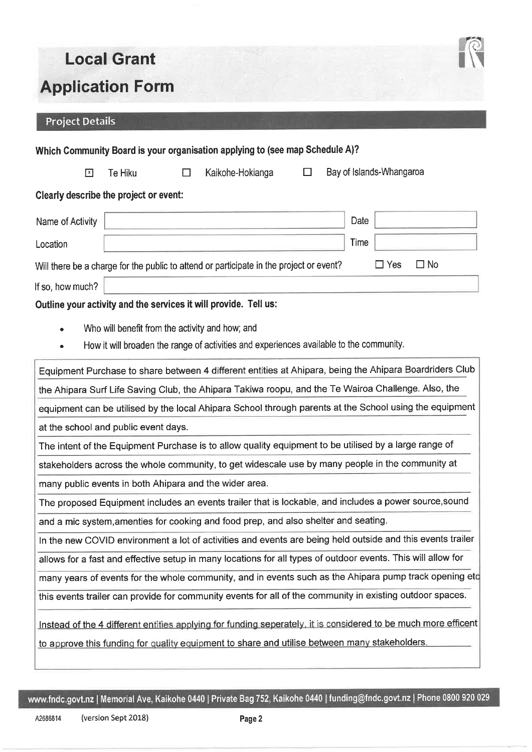

## **Project Details**

|                                                                                                         |                                                 |        | Which Community Board is your organisation applying to (see map Schedule A)?                                                                                                                                    |   |      |                          |           |
|---------------------------------------------------------------------------------------------------------|-------------------------------------------------|--------|-----------------------------------------------------------------------------------------------------------------------------------------------------------------------------------------------------------------|---|------|--------------------------|-----------|
| $\boxed{x}$                                                                                             | Te Hiku                                         | $\Box$ | Kaikohe-Hokianga                                                                                                                                                                                                | □ |      | Bay of Islands-Whangaroa |           |
| Clearly describe the project or event:                                                                  |                                                 |        |                                                                                                                                                                                                                 |   |      |                          |           |
| Name of Activity                                                                                        |                                                 |        |                                                                                                                                                                                                                 |   | Date |                          |           |
| Location                                                                                                |                                                 |        |                                                                                                                                                                                                                 |   | Time |                          |           |
|                                                                                                         |                                                 |        | Will there be a charge for the public to attend or participate in the project or event?                                                                                                                         |   |      | $\Box$ Yes               | $\Box$ No |
| If so, how much?                                                                                        |                                                 |        |                                                                                                                                                                                                                 |   |      |                          |           |
|                                                                                                         |                                                 |        | Outline your activity and the services it will provide. Tell us:                                                                                                                                                |   |      |                          |           |
| $\bullet$                                                                                               | Who will benefit from the activity and how; and |        |                                                                                                                                                                                                                 |   |      |                          |           |
|                                                                                                         |                                                 |        | How it will broaden the range of activities and experiences available to the community.                                                                                                                         |   |      |                          |           |
|                                                                                                         |                                                 |        | Equipment Purchase to share between 4 different entities at Ahipara, being the Ahipara Boardriders Club                                                                                                         |   |      |                          |           |
|                                                                                                         |                                                 |        | the Ahipara Surf Life Saving Club, the Ahipara Takiwa roopu, and the Te Wairoa Challenge. Also, the                                                                                                             |   |      |                          |           |
| equipment can be utilised by the local Ahipara School through parents at the School using the equipment |                                                 |        |                                                                                                                                                                                                                 |   |      |                          |           |
|                                                                                                         | at the school and public event days.            |        |                                                                                                                                                                                                                 |   |      |                          |           |
| The intent of the Equipment Purchase is to allow quality equipment to be utilised by a large range of   |                                                 |        |                                                                                                                                                                                                                 |   |      |                          |           |
| stakeholders across the whole community, to get widescale use by many people in the community at        |                                                 |        |                                                                                                                                                                                                                 |   |      |                          |           |
|                                                                                                         |                                                 |        | many public events in both Ahipara and the wider area.                                                                                                                                                          |   |      |                          |           |
|                                                                                                         |                                                 |        | The proposed Equipment includes an events trailer that is lockable, and includes a power source, sound                                                                                                          |   |      |                          |           |
|                                                                                                         |                                                 |        | and a mic system, amenties for cooking and food prep, and also shelter and seating.                                                                                                                             |   |      |                          |           |
|                                                                                                         |                                                 |        | In the new COVID environment a lot of activities and events are being held outside and this events trailer                                                                                                      |   |      |                          |           |
|                                                                                                         |                                                 |        | allows for a fast and effective setup in many locations for all types of outdoor events. This will allow for                                                                                                    |   |      |                          |           |
|                                                                                                         |                                                 |        | many years of events for the whole community, and in events such as the Ahipara pump track opening etc                                                                                                          |   |      |                          |           |
|                                                                                                         |                                                 |        | this events trailer can provide for community events for all of the community in existing outdoor spaces.                                                                                                       |   |      |                          |           |
|                                                                                                         |                                                 |        | Instead of the 4 different entities applying for funding seperately, it is considered to be much more efficent<br>to approve this funding for quality equipment to share and utilise between many stakeholders. |   |      |                          |           |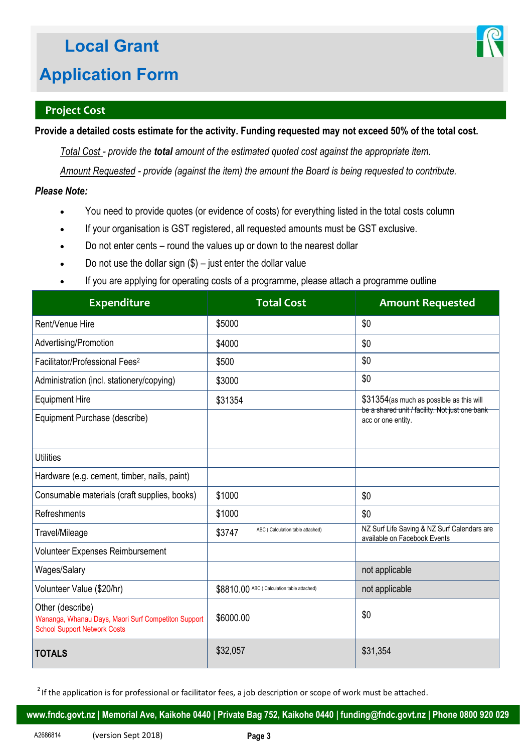

## **Project Cost**

**Provide a detailed costs estimate for the activity. Funding requested may not exceed 50% of the total cost.** 

*Total Cost - provide the total amount of the estimated quoted cost against the appropriate item.* 

*Amount Requested - provide (against the item) the amount the Board is being requested to contribute.* 

### *Please Note:*

- You need to provide quotes (or evidence of costs) for everything listed in the total costs column
- If your organisation is GST registered, all requested amounts must be GST exclusive.
- Do not enter cents round the values up or down to the nearest dollar
- Do not use the dollar sign  $(\$)$  just enter the dollar value
- If you are applying for operating costs of a programme, please attach a programme outline

| <b>Expenditure</b>                                                                                             | <b>Total Cost</b>                          | <b>Amount Requested</b>                                                     |
|----------------------------------------------------------------------------------------------------------------|--------------------------------------------|-----------------------------------------------------------------------------|
| Rent/Venue Hire                                                                                                | \$5000                                     | \$0                                                                         |
| Advertising/Promotion                                                                                          | \$4000                                     | \$0                                                                         |
| Facilitator/Professional Fees <sup>2</sup>                                                                     | \$500                                      | \$0                                                                         |
| Administration (incl. stationery/copying)                                                                      | \$3000                                     | \$0                                                                         |
| <b>Equipment Hire</b>                                                                                          | \$31354                                    | \$31354 (as much as possible as this will                                   |
| Equipment Purchase (describe)                                                                                  |                                            | be a shared unit / facility. Not just one bank<br>acc or one entity.        |
| <b>Utilities</b>                                                                                               |                                            |                                                                             |
| Hardware (e.g. cement, timber, nails, paint)                                                                   |                                            |                                                                             |
| Consumable materials (craft supplies, books)                                                                   | \$1000                                     | \$0                                                                         |
| Refreshments                                                                                                   | \$1000                                     | \$0                                                                         |
| Travel/Mileage                                                                                                 | ABC (Calculation table attached)<br>\$3747 | NZ Surf Life Saving & NZ Surf Calendars are<br>available on Facebook Events |
| Volunteer Expenses Reimbursement                                                                               |                                            |                                                                             |
| Wages/Salary                                                                                                   |                                            | not applicable                                                              |
| Volunteer Value (\$20/hr)                                                                                      | \$8810.00 ABC (Calculation table attached) | not applicable                                                              |
| Other (describe)<br>Wananga, Whanau Days, Maori Surf Competiton Support<br><b>School Support Network Costs</b> | \$6000.00                                  | \$0                                                                         |
| <b>TOTALS</b>                                                                                                  | \$32,057                                   | \$31,354                                                                    |

 $2$  If the application is for professional or facilitator fees, a job description or scope of work must be attached.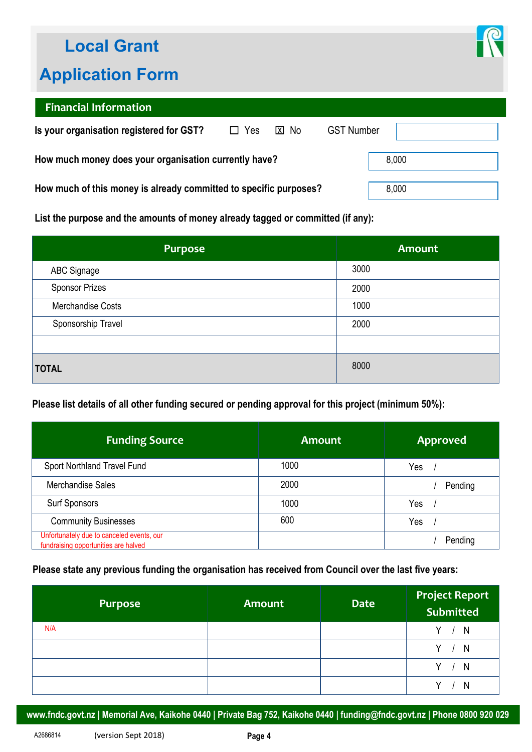## **Local Grant**

## **Application Form**



## **Financial Information**

| Is your organisation registered for GST?                          | $\Box$ Yes | <b>X</b> No | <b>GST Number</b> |       |
|-------------------------------------------------------------------|------------|-------------|-------------------|-------|
| How much money does your organisation currently have?             |            |             |                   | 8,000 |
| How much of this money is already committed to specific purposes? |            |             |                   | 8,000 |

**List the purpose and the amounts of money already tagged or committed (if any):** 

| <b>Purpose</b>        | <b>Amount</b> |
|-----------------------|---------------|
| <b>ABC Signage</b>    | 3000          |
| <b>Sponsor Prizes</b> | 2000          |
| Merchandise Costs     | 1000          |
| Sponsorship Travel    | 2000          |
|                       |               |
| <b>TOTAL</b>          | 8000          |

## **Please list details of all other funding secured or pending approval for this project (minimum 50%):**

| <b>Funding Source</b>                                                             | <b>Amount</b> | <b>Approved</b> |
|-----------------------------------------------------------------------------------|---------------|-----------------|
| Sport Northland Travel Fund                                                       | 1000          | Yes             |
| Merchandise Sales                                                                 | 2000          | Pending         |
| <b>Surf Sponsors</b>                                                              | 1000          | Yes             |
| <b>Community Businesses</b>                                                       | 600           | Yes             |
| Unfortunately due to canceled events, our<br>fundraising opportunities are halved |               | Pending         |

#### **Please state any previous funding the organisation has received from Council over the last five years:**

| Purpose | <b>Amount</b> | <b>Date</b> | <b>Project Report<br/>Submitted</b> |
|---------|---------------|-------------|-------------------------------------|
| N/A     |               |             | Y.<br>N                             |
|         |               |             | V.<br>N                             |
|         |               |             | N                                   |
|         |               |             |                                     |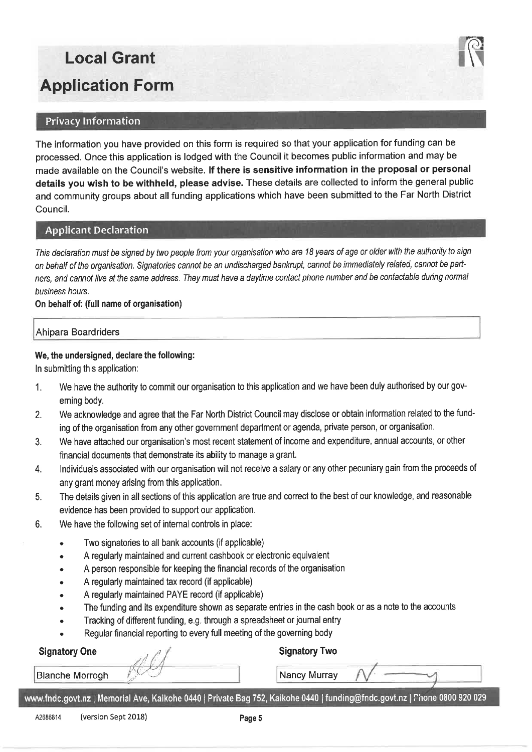#### **Privacy Information**

The information you have provided on this form is required so that your application for funding can be processed. Once this application is lodged with the Council it becomes public information and may be made available on the Council's website. If there is sensitive information in the proposal or personal details you wish to be withheld, please advise. These details are collected to inform the general public and community groups about all funding applications which have been submitted to the Far North District Council.

#### **Applicant Declaration**

This declaration must be signed by two people from your organisation who are 18 years of age or older with the authority to sign on behalf of the organisation. Signatories cannot be an undischarged bankrupt, cannot be immediately related, cannot be partners, and cannot live at the same address. They must have a daytime contact phone number and be contactable during normal business hours.

#### On behalf of: (full name of organisation)

#### Ahipara Boardriders

#### We, the undersigned, declare the following:

In submitting this application:

- We have the authority to commit our organisation to this application and we have been duly authorised by our gov- $\mathbf{1}$ . erning body.
- We acknowledge and agree that the Far North District Council may disclose or obtain information related to the fund- $2.$ ing of the organisation from any other government department or agenda, private person, or organisation.
- We have attached our organisation's most recent statement of income and expenditure, annual accounts, or other  $3.$ financial documents that demonstrate its ability to manage a grant.
- Individuals associated with our organisation will not receive a salary or any other pecuniary gain from the proceeds of 4. any grant money arising from this application.
- The details given in all sections of this application are true and correct to the best of our knowledge, and reasonable 5. evidence has been provided to support our application.
- 6. We have the following set of internal controls in place:
	- Two signatories to all bank accounts (if applicable)
	- A regularly maintained and current cashbook or electronic equivalent
	- A person responsible for keeping the financial records of the organisation
	- A regularly maintained tax record (if applicable)
	- A regularly maintained PAYE record (if applicable)
	- The funding and its expenditure shown as separate entries in the cash book or as a note to the accounts
	- Tracking of different funding, e.g. through a spreadsheet or journal entry
	- Regular financial reporting to every full meeting of the governing body

## **Signatory One**

**Blanche Morrogh** 

#### **Signatory Two**

Nancy Murray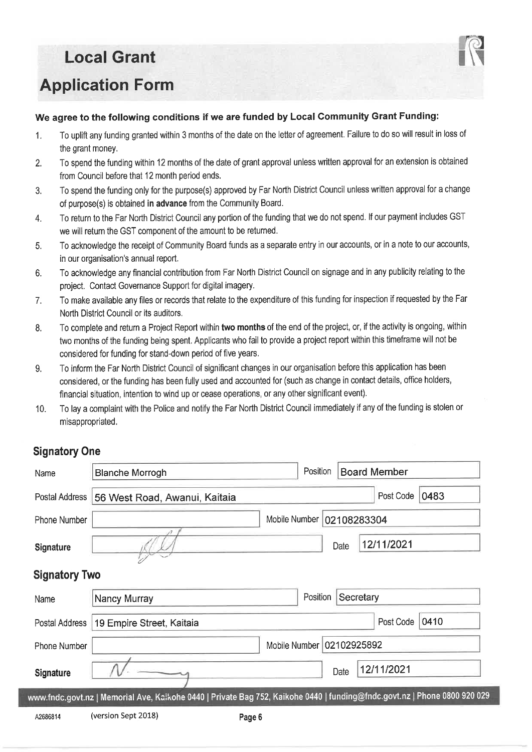### We agree to the following conditions if we are funded by Local Community Grant Funding:

- To uplift any funding granted within 3 months of the date on the letter of agreement. Failure to do so will result in loss of  $1.$ the grant money.
- To spend the funding within 12 months of the date of grant approval unless written approval for an extension is obtained  $2.$ from Council before that 12 month period ends.
- To spend the funding only for the purpose(s) approved by Far North District Council unless written approval for a change  $3.$ of purpose(s) is obtained in advance from the Community Board.
- To return to the Far North District Council any portion of the funding that we do not spend. If our payment includes GST  $\overline{4}$ . we will return the GST component of the amount to be returned.
- To acknowledge the receipt of Community Board funds as a separate entry in our accounts, or in a note to our accounts, 5. in our organisation's annual report.
- To acknowledge any financial contribution from Far North District Council on signage and in any publicity relating to the 6. project. Contact Governance Support for digital imagery.
- To make available any files or records that relate to the expenditure of this funding for inspection if requested by the Far  $\overline{7}$ . North District Council or its auditors.
- To complete and return a Project Report within two months of the end of the project, or, if the activity is ongoing, within 8. two months of the funding being spent. Applicants who fail to provide a project report within this timeframe will not be considered for funding for stand-down period of five years.
- To inform the Far North District Council of significant changes in our organisation before this application has been 9. considered, or the funding has been fully used and accounted for (such as change in contact details, office holders, financial situation, intention to wind up or cease operations, or any other significant event).
- To lay a complaint with the Police and notify the Far North District Council immediately if any of the funding is stolen or  $10.$ misappropriated.

#### **Signatory One**

| Name                 | <b>Blanche Morrogh</b>                                                                                                  |               | Position                  |             | <b>Board Member</b> |      |
|----------------------|-------------------------------------------------------------------------------------------------------------------------|---------------|---------------------------|-------------|---------------------|------|
| Postal Address       | 56 West Road, Awanui, Kaitaia                                                                                           |               |                           |             | Post Code           | 0483 |
| Phone Number         |                                                                                                                         | Mobile Number |                           | 02108283304 |                     |      |
| <b>Signature</b>     |                                                                                                                         |               |                           | Date        | 12/11/2021          |      |
| <b>Signatory Two</b> |                                                                                                                         |               |                           |             |                     |      |
| Name                 | Nancy Murray                                                                                                            |               | Position                  | Secretary   |                     |      |
| Postal Address       | 19 Empire Street, Kaitaia                                                                                               |               |                           |             | Post Code           | 0410 |
| <b>Phone Number</b>  |                                                                                                                         |               | Mobile Number 02102925892 |             |                     |      |
| <b>Signature</b>     |                                                                                                                         |               |                           | Date        | 12/11/2021          |      |
|                      | ww.fndc.govt.nz   Memorial Ave, Kaikohe 0440   Private Bag 752, Kaikohe 0440   funding@fndc.govt.nz   Phone 0800 920 02 |               |                           |             |                     |      |
| A2686814             | (version Sept 2018)<br>Page 6                                                                                           |               |                           |             |                     |      |